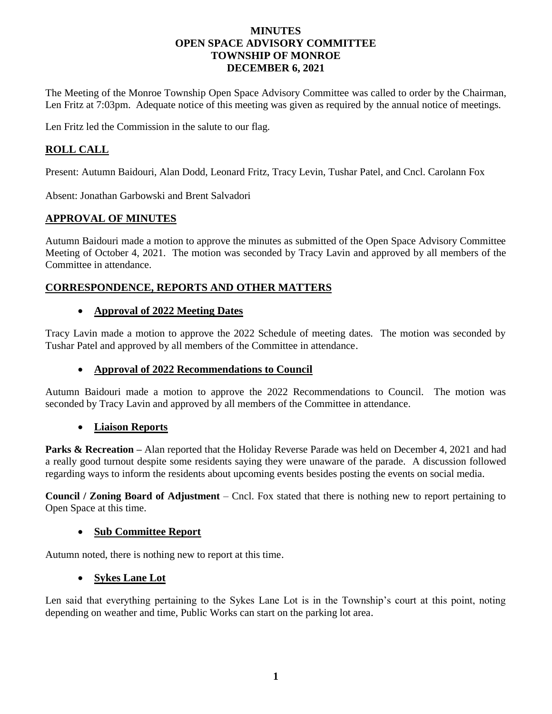#### **MINUTES OPEN SPACE ADVISORY COMMITTEE TOWNSHIP OF MONROE DECEMBER 6, 2021**

The Meeting of the Monroe Township Open Space Advisory Committee was called to order by the Chairman, Len Fritz at 7:03pm. Adequate notice of this meeting was given as required by the annual notice of meetings.

Len Fritz led the Commission in the salute to our flag.

# **ROLL CALL**

Present: Autumn Baidouri, Alan Dodd, Leonard Fritz, Tracy Levin, Tushar Patel, and Cncl. Carolann Fox

Absent: Jonathan Garbowski and Brent Salvadori

## **APPROVAL OF MINUTES**

Autumn Baidouri made a motion to approve the minutes as submitted of the Open Space Advisory Committee Meeting of October 4, 2021. The motion was seconded by Tracy Lavin and approved by all members of the Committee in attendance.

### **CORRESPONDENCE, REPORTS AND OTHER MATTERS**

#### • **Approval of 2022 Meeting Dates**

Tracy Lavin made a motion to approve the 2022 Schedule of meeting dates. The motion was seconded by Tushar Patel and approved by all members of the Committee in attendance.

### • **Approval of 2022 Recommendations to Council**

Autumn Baidouri made a motion to approve the 2022 Recommendations to Council. The motion was seconded by Tracy Lavin and approved by all members of the Committee in attendance.

### • **Liaison Reports**

**Parks & Recreation** – Alan reported that the Holiday Reverse Parade was held on December 4, 2021 and had a really good turnout despite some residents saying they were unaware of the parade. A discussion followed regarding ways to inform the residents about upcoming events besides posting the events on social media.

**Council / Zoning Board of Adjustment** – Cncl. Fox stated that there is nothing new to report pertaining to Open Space at this time.

### • **Sub Committee Report**

Autumn noted, there is nothing new to report at this time.

### • **Sykes Lane Lot**

Len said that everything pertaining to the Sykes Lane Lot is in the Township's court at this point, noting depending on weather and time, Public Works can start on the parking lot area.